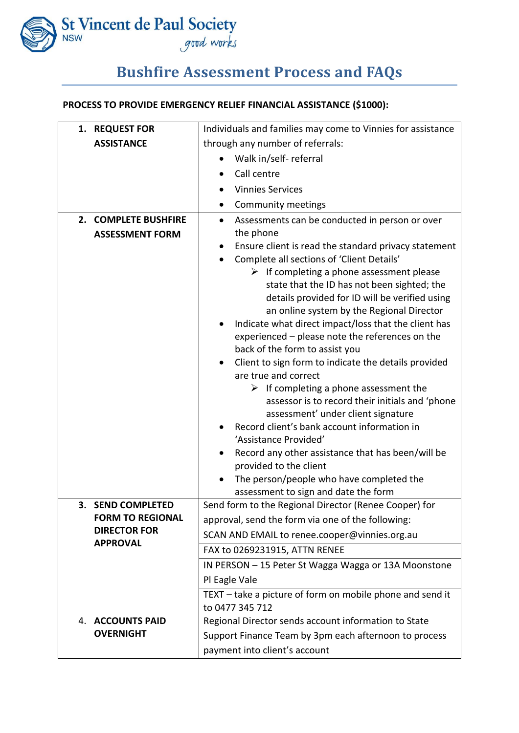

## **Bushfire Assessment Process and FAQs**

## **PROCESS TO PROVIDE EMERGENCY RELIEF FINANCIAL ASSISTANCE (\$1000):**

| 1. REQUEST FOR                 | Individuals and families may come to Vinnies for assistance                                       |
|--------------------------------|---------------------------------------------------------------------------------------------------|
| <b>ASSISTANCE</b>              | through any number of referrals:                                                                  |
|                                | Walk in/self-referral                                                                             |
|                                | Call centre                                                                                       |
|                                | <b>Vinnies Services</b>                                                                           |
|                                | Community meetings                                                                                |
| <b>COMPLETE BUSHFIRE</b><br>2. | Assessments can be conducted in person or over<br>$\bullet$                                       |
| <b>ASSESSMENT FORM</b>         | the phone                                                                                         |
|                                | Ensure client is read the standard privacy statement<br>$\bullet$                                 |
|                                | Complete all sections of 'Client Details'<br>$\bullet$                                            |
|                                | $\triangleright$ If completing a phone assessment please                                          |
|                                | state that the ID has not been sighted; the                                                       |
|                                | details provided for ID will be verified using                                                    |
|                                | an online system by the Regional Director<br>Indicate what direct impact/loss that the client has |
|                                | experienced - please note the references on the                                                   |
|                                | back of the form to assist you                                                                    |
|                                | Client to sign form to indicate the details provided<br>$\bullet$                                 |
|                                | are true and correct                                                                              |
|                                | $\triangleright$ If completing a phone assessment the                                             |
|                                | assessor is to record their initials and 'phone                                                   |
|                                | assessment' under client signature                                                                |
|                                | Record client's bank account information in<br>'Assistance Provided'                              |
|                                | Record any other assistance that has been/will be                                                 |
|                                | provided to the client                                                                            |
|                                | The person/people who have completed the                                                          |
|                                | assessment to sign and date the form                                                              |
| 3. SEND COMPLETED              | Send form to the Regional Director (Renee Cooper) for                                             |
| <b>FORM TO REGIONAL</b>        | approval, send the form via one of the following:                                                 |
| <b>DIRECTOR FOR</b>            | SCAN AND EMAIL to renee.cooper@vinnies.org.au                                                     |
| <b>APPROVAL</b>                | FAX to 0269231915, ATTN RENEE                                                                     |
|                                | IN PERSON - 15 Peter St Wagga Wagga or 13A Moonstone                                              |
|                                | Pl Eagle Vale                                                                                     |
|                                | TEXT - take a picture of form on mobile phone and send it                                         |
|                                | to 0477 345 712                                                                                   |
| <b>4. ACCOUNTS PAID</b>        | Regional Director sends account information to State                                              |
| <b>OVERNIGHT</b>               | Support Finance Team by 3pm each afternoon to process                                             |
|                                | payment into client's account                                                                     |